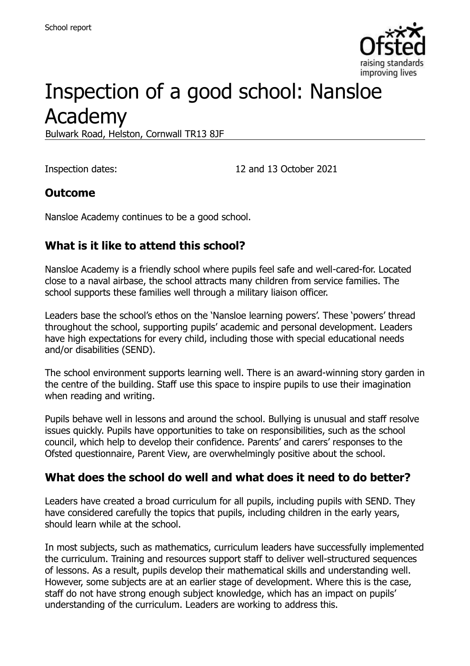

# Inspection of a good school: Nansloe Academy

Bulwark Road, Helston, Cornwall TR13 8JF

Inspection dates: 12 and 13 October 2021

#### **Outcome**

Nansloe Academy continues to be a good school.

#### **What is it like to attend this school?**

Nansloe Academy is a friendly school where pupils feel safe and well-cared-for. Located close to a naval airbase, the school attracts many children from service families. The school supports these families well through a military liaison officer.

Leaders base the school's ethos on the 'Nansloe learning powers'. These 'powers' thread throughout the school, supporting pupils' academic and personal development. Leaders have high expectations for every child, including those with special educational needs and/or disabilities (SEND).

The school environment supports learning well. There is an award-winning story garden in the centre of the building. Staff use this space to inspire pupils to use their imagination when reading and writing.

Pupils behave well in lessons and around the school. Bullying is unusual and staff resolve issues quickly. Pupils have opportunities to take on responsibilities, such as the school council, which help to develop their confidence. Parents' and carers' responses to the Ofsted questionnaire, Parent View, are overwhelmingly positive about the school.

#### **What does the school do well and what does it need to do better?**

Leaders have created a broad curriculum for all pupils, including pupils with SEND. They have considered carefully the topics that pupils, including children in the early years, should learn while at the school.

In most subjects, such as mathematics, curriculum leaders have successfully implemented the curriculum. Training and resources support staff to deliver well-structured sequences of lessons. As a result, pupils develop their mathematical skills and understanding well. However, some subjects are at an earlier stage of development. Where this is the case, staff do not have strong enough subject knowledge, which has an impact on pupils' understanding of the curriculum. Leaders are working to address this.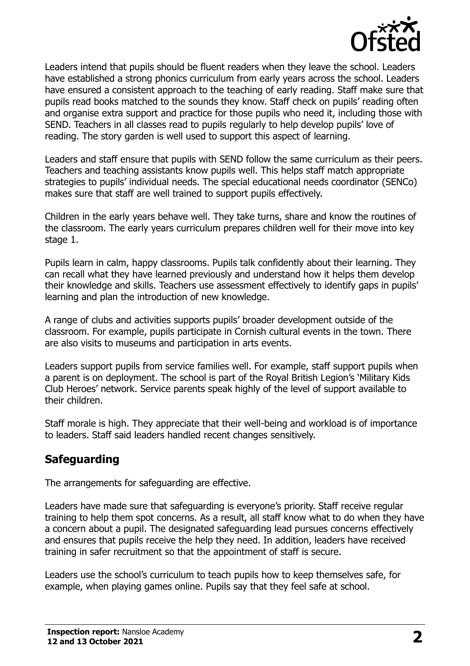

Leaders intend that pupils should be fluent readers when they leave the school. Leaders have established a strong phonics curriculum from early years across the school. Leaders have ensured a consistent approach to the teaching of early reading. Staff make sure that pupils read books matched to the sounds they know. Staff check on pupils' reading often and organise extra support and practice for those pupils who need it, including those with SEND. Teachers in all classes read to pupils regularly to help develop pupils' love of reading. The story garden is well used to support this aspect of learning.

Leaders and staff ensure that pupils with SEND follow the same curriculum as their peers. Teachers and teaching assistants know pupils well. This helps staff match appropriate strategies to pupils' individual needs. The special educational needs coordinator (SENCo) makes sure that staff are well trained to support pupils effectively.

Children in the early years behave well. They take turns, share and know the routines of the classroom. The early years curriculum prepares children well for their move into key stage 1.

Pupils learn in calm, happy classrooms. Pupils talk confidently about their learning. They can recall what they have learned previously and understand how it helps them develop their knowledge and skills. Teachers use assessment effectively to identify gaps in pupils' learning and plan the introduction of new knowledge.

A range of clubs and activities supports pupils' broader development outside of the classroom. For example, pupils participate in Cornish cultural events in the town. There are also visits to museums and participation in arts events.

Leaders support pupils from service families well. For example, staff support pupils when a parent is on deployment. The school is part of the Royal British Legion's 'Military Kids Club Heroes' network. Service parents speak highly of the level of support available to their children.

Staff morale is high. They appreciate that their well-being and workload is of importance to leaders. Staff said leaders handled recent changes sensitively.

#### **Safeguarding**

The arrangements for safeguarding are effective.

Leaders have made sure that safeguarding is everyone's priority. Staff receive regular training to help them spot concerns. As a result, all staff know what to do when they have a concern about a pupil. The designated safeguarding lead pursues concerns effectively and ensures that pupils receive the help they need. In addition, leaders have received training in safer recruitment so that the appointment of staff is secure.

Leaders use the school's curriculum to teach pupils how to keep themselves safe, for example, when playing games online. Pupils say that they feel safe at school.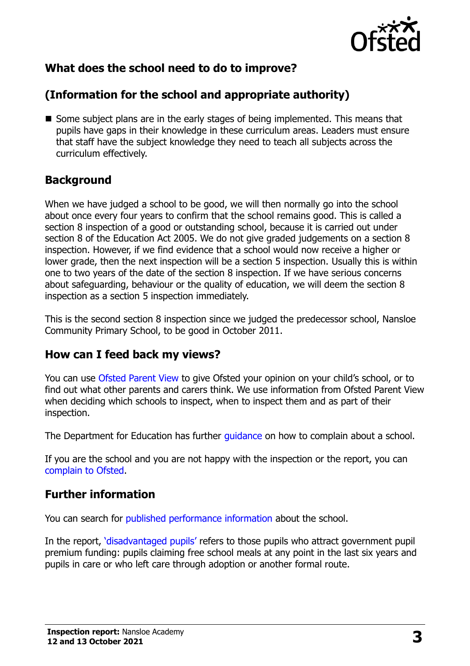

# **What does the school need to do to improve?**

# **(Information for the school and appropriate authority)**

Some subject plans are in the early stages of being implemented. This means that pupils have gaps in their knowledge in these curriculum areas. Leaders must ensure that staff have the subject knowledge they need to teach all subjects across the curriculum effectively.

#### **Background**

When we have judged a school to be good, we will then normally go into the school about once every four years to confirm that the school remains good. This is called a section 8 inspection of a good or outstanding school, because it is carried out under section 8 of the Education Act 2005. We do not give graded judgements on a section 8 inspection. However, if we find evidence that a school would now receive a higher or lower grade, then the next inspection will be a section 5 inspection. Usually this is within one to two years of the date of the section 8 inspection. If we have serious concerns about safeguarding, behaviour or the quality of education, we will deem the section 8 inspection as a section 5 inspection immediately.

This is the second section 8 inspection since we judged the predecessor school, Nansloe Community Primary School, to be good in October 2011.

#### **How can I feed back my views?**

You can use [Ofsted Parent View](https://parentview.ofsted.gov.uk/) to give Ofsted your opinion on your child's school, or to find out what other parents and carers think. We use information from Ofsted Parent View when deciding which schools to inspect, when to inspect them and as part of their inspection.

The Department for Education has further quidance on how to complain about a school.

If you are the school and you are not happy with the inspection or the report, you can [complain to Ofsted.](https://www.gov.uk/complain-ofsted-report)

#### **Further information**

You can search for [published performance information](http://www.compare-school-performance.service.gov.uk/) about the school.

In the report, '[disadvantaged pupils](http://www.gov.uk/guidance/pupil-premium-information-for-schools-and-alternative-provision-settings)' refers to those pupils who attract government pupil premium funding: pupils claiming free school meals at any point in the last six years and pupils in care or who left care through adoption or another formal route.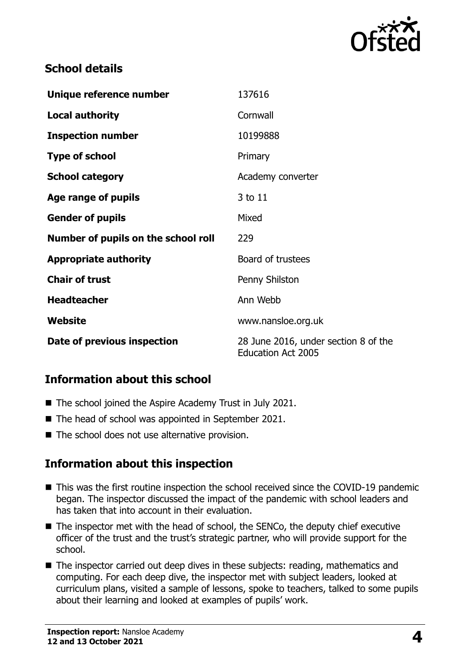

#### **School details**

| Unique reference number             | 137616                                                            |
|-------------------------------------|-------------------------------------------------------------------|
| <b>Local authority</b>              | Cornwall                                                          |
| <b>Inspection number</b>            | 10199888                                                          |
| <b>Type of school</b>               | Primary                                                           |
| <b>School category</b>              | Academy converter                                                 |
| Age range of pupils                 | 3 to 11                                                           |
| <b>Gender of pupils</b>             | Mixed                                                             |
| Number of pupils on the school roll | 229                                                               |
| <b>Appropriate authority</b>        | Board of trustees                                                 |
| <b>Chair of trust</b>               | Penny Shilston                                                    |
| <b>Headteacher</b>                  | Ann Webb                                                          |
| Website                             | www.nansloe.org.uk                                                |
| Date of previous inspection         | 28 June 2016, under section 8 of the<br><b>Education Act 2005</b> |

### **Information about this school**

- The school joined the Aspire Academy Trust in July 2021.
- The head of school was appointed in September 2021.
- The school does not use alternative provision.

### **Information about this inspection**

- This was the first routine inspection the school received since the COVID-19 pandemic began. The inspector discussed the impact of the pandemic with school leaders and has taken that into account in their evaluation.
- The inspector met with the head of school, the SENCo, the deputy chief executive officer of the trust and the trust's strategic partner, who will provide support for the school.
- The inspector carried out deep dives in these subjects: reading, mathematics and computing. For each deep dive, the inspector met with subject leaders, looked at curriculum plans, visited a sample of lessons, spoke to teachers, talked to some pupils about their learning and looked at examples of pupils' work.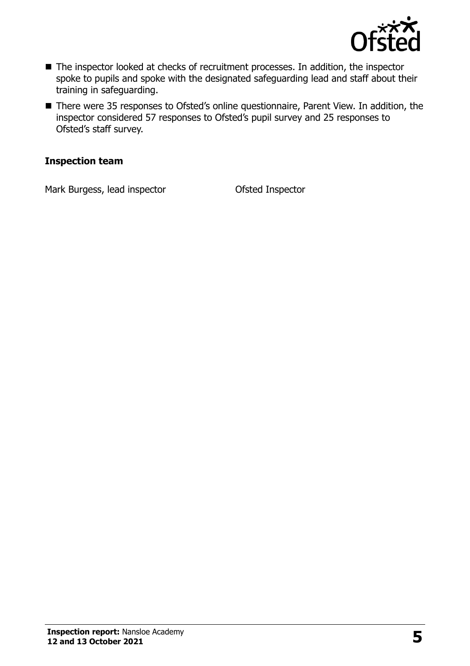

- The inspector looked at checks of recruitment processes. In addition, the inspector spoke to pupils and spoke with the designated safeguarding lead and staff about their training in safeguarding.
- There were 35 responses to Ofsted's online questionnaire, Parent View. In addition, the inspector considered 57 responses to Ofsted's pupil survey and 25 responses to Ofsted's staff survey.

#### **Inspection team**

Mark Burgess, lead inspector **Ofsted Inspector**